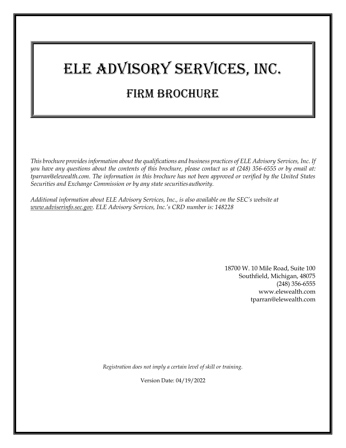# ELE Advisory Services, Inc. Firm Brochure

*This brochure providesinformation about the qualifications and business practices of ELE Advisory Services, Inc. If you have any questions about the contents of this brochure, please contact us at (248) 356-6555 or by email at: [tparran@elewealth.com.](mailto:tparran@elewealth.com) The information in this brochure has not been approved or verified by the United States Securities and Exchange Commission or by any state securities authority.*

*Additional information about ELE Advisory Services, Inc., is also available on the SEC's website at [www.adviserinfo.sec.gov.](http://www.adviserinfo.sec.gov/) ELE Advisory Services, Inc.'s CRD number is: 148228*

> 18700 W. 10 Mile Road, Suite 100 Southfield, Michigan, 48075 (248) 356-6555 [www.elewealth.com](http://www.elewealth.com/) [tparran@elewealth.com](mailto:tparran@elewealth.com)

*Registration does not imply a certain level of skill or training.*

Version Date: 04/19/2022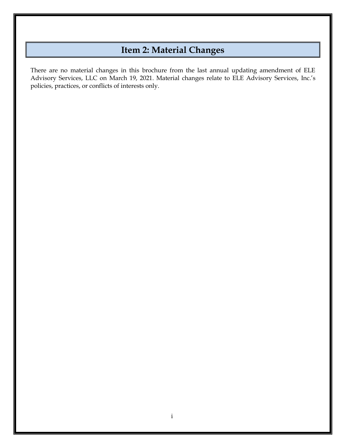# **Item 2: Material Changes**

There are no material changes in this brochure from the last annual updating amendment of ELE Advisory Services, LLC on March 19, 2021. Material changes relate to ELE Advisory Services, Inc.'s policies, practices, or conflicts of interests only.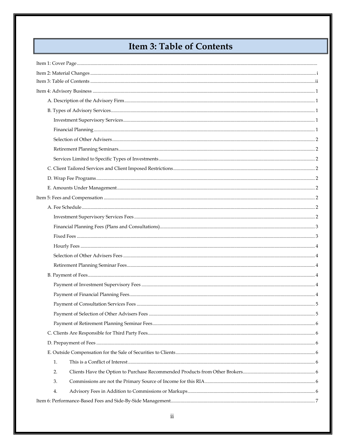# **Item 3: Table of Contents**

| 1. |  |
|----|--|
| 2. |  |
| 3. |  |
| 4. |  |
|    |  |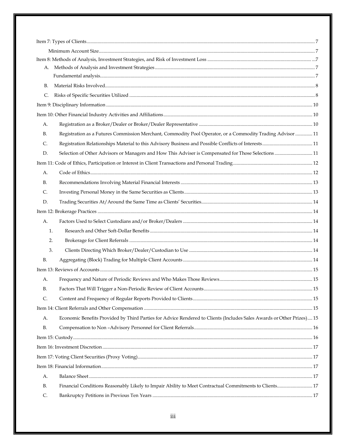| A.             |                                                                                                                       |  |
|----------------|-----------------------------------------------------------------------------------------------------------------------|--|
|                |                                                                                                                       |  |
| В.             |                                                                                                                       |  |
| $\mathsf{C}$ . |                                                                                                                       |  |
|                |                                                                                                                       |  |
|                |                                                                                                                       |  |
| А.             |                                                                                                                       |  |
| В.             | Registration as a Futures Commission Merchant, Commodity Pool Operator, or a Commodity Trading Advisor  11            |  |
| C.             |                                                                                                                       |  |
| D.             | Selection of Other Advisors or Managers and How This Adviser is Compensated for Those Selections  11                  |  |
|                |                                                                                                                       |  |
| А.             |                                                                                                                       |  |
| В.             |                                                                                                                       |  |
| C.             |                                                                                                                       |  |
| D.             |                                                                                                                       |  |
|                |                                                                                                                       |  |
| A.             |                                                                                                                       |  |
| 1.             |                                                                                                                       |  |
| 2.             |                                                                                                                       |  |
| 3.             |                                                                                                                       |  |
| <b>B.</b>      |                                                                                                                       |  |
|                |                                                                                                                       |  |
| А.             |                                                                                                                       |  |
| <b>B.</b>      |                                                                                                                       |  |
| C.             |                                                                                                                       |  |
|                |                                                                                                                       |  |
| A.             | Economic Benefits Provided by Third Parties for Advice Rendered to Clients (Includes Sales Awards or Other Prizes) 15 |  |
| B.             |                                                                                                                       |  |
|                |                                                                                                                       |  |
|                |                                                                                                                       |  |
|                |                                                                                                                       |  |
|                |                                                                                                                       |  |
| А.             |                                                                                                                       |  |
| В.             | Financial Conditions Reasonably Likely to Impair Ability to Meet Contractual Commitments to Clients 17                |  |
| C.             |                                                                                                                       |  |
|                |                                                                                                                       |  |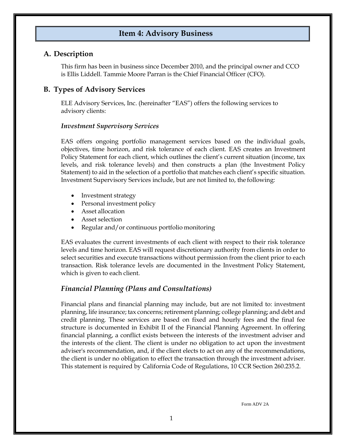# **Item 4: Advisory Business**

#### **A. Description**

This firm has been in business since December 2010, and the principal owner and CCO is Ellis Liddell. Tammie Moore Parran is the Chief Financial Officer (CFO).

# **B. Types of Advisory Services**

ELE Advisory Services, Inc. (hereinafter "EAS") offers the following services to advisory clients:

#### *Investment Supervisory Services*

EAS offers ongoing portfolio management services based on the individual goals, objectives, time horizon, and risk tolerance of each client. EAS creates an Investment Policy Statement for each client, which outlines the client's current situation (income, tax levels, and risk tolerance levels) and then constructs a plan (the Investment Policy Statement) to aid in the selection of a portfolio that matches each client's specific situation. Investment Supervisory Services include, but are not limited to, the following:

- Investment strategy
- Personal investment policy
- Asset allocation
- Asset selection
- Regular and/or continuous portfolio monitoring

EAS evaluates the current investments of each client with respect to their risk tolerance levels and time horizon. EAS will request discretionary authority from clients in order to select securities and execute transactions without permission from the client prior to each transaction. Risk tolerance levels are documented in the Investment Policy Statement, which is given to each client.

# *Financial Planning (Plans and Consultations)*

Financial plans and financial planning may include, but are not limited to: investment planning, life insurance; tax concerns; retirement planning; college planning; and debt and credit planning. These services are based on fixed and hourly fees and the final fee structure is documented in Exhibit II of the Financial Planning Agreement. In offering financial planning, a conflict exists between the interests of the investment adviser and the interests of the client. The client is under no obligation to act upon the investment adviser's recommendation, and, if the client elects to act on any of the recommendations, the client is under no obligation to effect the transaction through the investment adviser. This statement is required by California Code of Regulations, 10 CCR Section 260.235.2.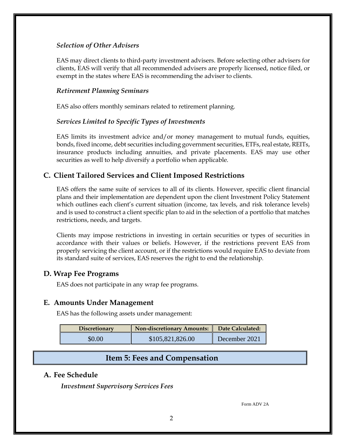#### *Selection of Other Advisers*

EAS may direct clients to third-party investment advisers. Before selecting other advisers for clients, EAS will verify that all recommended advisers are properly licensed, notice filed, or exempt in the states where EAS is recommending the adviser to clients.

#### *Retirement Planning Seminars*

EAS also offers monthly seminars related to retirement planning.

#### *Services Limited to Specific Types of Investments*

EAS limits its investment advice and/or money management to mutual funds, equities, bonds, fixed income, debt securities including government securities, ETFs, real estate, REITs, insurance products including annuities, and private placements. EAS may use other securities as well to help diversify a portfolio when applicable.

#### **C. Client Tailored Services and Client Imposed Restrictions**

EAS offers the same suite of services to all of its clients. However, specific client financial plans and their implementation are dependent upon the client Investment Policy Statement which outlines each client's current situation (income, tax levels, and risk tolerance levels) and is used to construct a client specific plan to aid in the selection of a portfolio that matches restrictions, needs, and targets.

Clients may impose restrictions in investing in certain securities or types of securities in accordance with their values or beliefs. However, if the restrictions prevent EAS from properly servicing the client account, or if the restrictions would require EAS to deviate from its standard suite of services, EAS reserves the right to end the relationship.

#### **D. Wrap Fee Programs**

EAS does not participate in any wrap fee programs.

#### **E. Amounts Under Management**

EAS has the following assets under management:

| <b>Discretionary</b> | Non-discretionary Amounts: | Date Calculated: |
|----------------------|----------------------------|------------------|
| \$0.00               | \$105,821,826.00           | December 2021    |

#### **Item 5: Fees and Compensation**

#### <span id="page-5-0"></span>**A. Fee Schedule**

*Investment Supervisory Services Fees*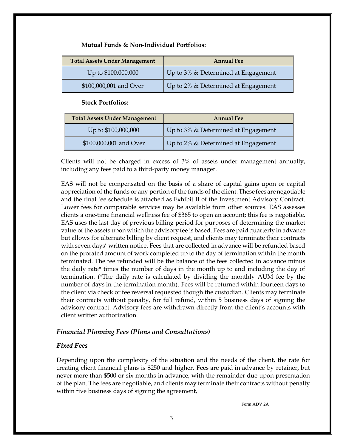#### **Mutual Funds & Non-Individual Portfolios:**

| <b>Total Assets Under Management</b> | <b>Annual Fee</b>                      |
|--------------------------------------|----------------------------------------|
| Up to \$100,000,000                  | Up to 3% & Determined at Engagement    |
| \$100,000,001 and Over               | Up to $2\%$ & Determined at Engagement |

 **Stock Portfolios:**

| <b>Total Assets Under Management</b> | <b>Annual Fee</b>                   |  |
|--------------------------------------|-------------------------------------|--|
| Up to \$100,000,000                  | Up to 3% & Determined at Engagement |  |
| \$100,000,001 and Over               | Up to 2% & Determined at Engagement |  |

Clients will not be charged in excess of 3% of assets under management annually, including any fees paid to a third-party money manager.

EAS will not be compensated on the basis of a share of capital gains upon or capital appreciation of the funds or any portion of the funds of the client. These fees are negotiable and the final fee schedule is attached as Exhibit II of the Investment Advisory Contract. Lower fees for comparable services may be available from other sources. EAS assesses clients a one-time financial wellness fee of \$365 to open an account; this fee is negotiable. EAS uses the last day of previous billing period for purposes of determining the market value of the assets upon which the advisory fee is based. Fees are paid quarterly in advance but allows for alternate billing by client request, and clients may terminate their contracts with seven days' written notice. Fees that are collected in advance will be refunded based on the prorated amount of work completed up to the day of termination within the month terminated. The fee refunded will be the balance of the fees collected in advance minus the daily rate\* times the number of days in the month up to and including the day of termination. (\*The daily rate is calculated by dividing the monthly AUM fee by the number of days in the termination month). Fees will be returned within fourteen days to the client via check or fee reversal requested though the custodian. Clients may terminate their contracts without penalty, for full refund, within 5 business days of signing the advisory contract. Advisory fees are withdrawn directly from the client's accounts with client written authorization.

#### *Financial Planning Fees (Plans and Consultations)*

#### <span id="page-6-0"></span>*Fixed Fees*

Depending upon the complexity of the situation and the needs of the client, the rate for creating client financial plans is \$250 and higher. Fees are paid in advance by retainer, but never more than \$500 or six months in advance, with the remainder due upon presentation of the plan. The fees are negotiable, and clients may terminate their contracts without penalty within five business days of signing the agreement,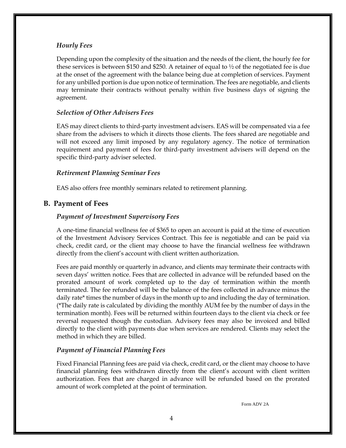#### <span id="page-7-0"></span>*Hourly Fees*

Depending upon the complexity of the situation and the needs of the client, the hourly fee for these services is between \$150 and \$250. A retainer of equal to  $\frac{1}{2}$  of the negotiated fee is due at the onset of the agreement with the balance being due at completion of services. Payment for any unbilled portion is due upon notice of termination. The fees are negotiable, and clients may terminate their contracts without penalty within five business days of signing the agreement.

#### *Selection of Other Advisers Fees*

EAS may direct clients to third-party investment advisers. EAS will be compensated via a fee share from the advisers to which it directs those clients. The fees shared are negotiable and will not exceed any limit imposed by any regulatory agency. The notice of termination requirement and payment of fees for third-party investment advisers will depend on the specific third-party adviser selected.

#### <span id="page-7-1"></span>*Retirement Planning Seminar Fees*

EAS also offers free monthly seminars related to retirement planning.

#### **B. Payment of Fees**

#### *Payment of Investment Supervisory Fees*

A one-time financial wellness fee of \$365 to open an account is paid at the time of execution of the Investment Advisory Services Contract. This fee is negotiable and can be paid via check, credit card, or the client may choose to have the financial wellness fee withdrawn directly from the client's account with client written authorization.

Fees are paid monthly or quarterly in advance, and clients may terminate their contracts with seven days' written notice. Fees that are collected in advance will be refunded based on the prorated amount of work completed up to the day of termination within the month terminated. The fee refunded will be the balance of the fees collected in advance minus the daily rate\* times the number of days in the month up to and including the day of termination. (\*The daily rate is calculated by dividing the monthly AUM fee by the number of days in the termination month). Fees will be returned within fourteen days to the client via check or fee reversal requested though the custodian. Advisory fees may also be invoiced and billed directly to the client with payments due when services are rendered. Clients may select the method in which they are billed.

#### *Payment of Financial Planning Fees*

Fixed Financial Planning fees are paid via check, credit card, or the client may choose to have financial planning fees withdrawn directly from the client's account with client written authorization. Fees that are charged in advance will be refunded based on the prorated amount of work completed at the point of termination.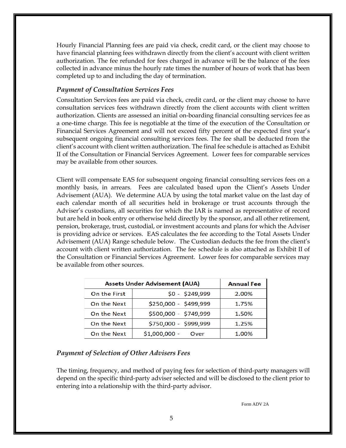Hourly Financial Planning fees are paid via check, credit card, or the client may choose to have financial planning fees withdrawn directly from the client's account with client written authorization. The fee refunded for fees charged in advance will be the balance of the fees collected in advance minus the hourly rate times the number of hours of work that has been completed up to and including the day of termination.

#### *Payment of Consultation Services Fees*

Consultation Services fees are paid via check, credit card, or the client may choose to have consultation services fees withdrawn directly from the client accounts with client written authorization. Clients are assessed an initial on-boarding financial consulting services fee as a one-time charge. This fee is negotiable at the time of the execution of the Consultation or Financial Services Agreement and will not exceed fifty percent of the expected first year's subsequent ongoing financial consulting services fees. The fee shall be deducted from the client's account with client written authorization. The final fee schedule is attached as Exhibit II of the Consultation or Financial Services Agreement. Lower fees for comparable services may be available from other sources.

Client will compensate EAS for subsequent ongoing financial consulting services fees on a monthly basis, in arrears. Fees are calculated based upon the Client's Assets Under Advisement (AUA). We determine AUA by using the total market value on the last day of each calendar month of all securities held in brokerage or trust accounts through the Adviser's custodians, all securities for which the IAR is named as representative of record but are held in book entry or otherwise held directly by the sponsor, and all other retirement, pension, brokerage, trust, custodial, or investment accounts and plans for which the Adviser is providing advice or services. EAS calculates the fee according to the Total Assets Under Advisement (AUA) Range schedule below. The Custodian deducts the fee from the client's account with client written authorization. The fee schedule is also attached as Exhibit II of the Consultation or Financial Services Agreement. Lower fees for comparable services may be available from other sources.

| <b>Assets Under Advisement (AUA)</b> | <b>Annual Fee</b>      |       |
|--------------------------------------|------------------------|-------|
| On the First                         | $$0 - $249,999$        | 2.00% |
| On the Next                          | \$250,000 - \$499,999  | 1.75% |
| On the Next                          | \$500,000 - \$749,999  | 1.50% |
| On the Next                          | \$750,000 - \$999,999  | 1.25% |
| On the Next                          | $$1,000,000 -$<br>Over | 1.00% |

#### *Payment of Selection of Other Advisers Fees*

The timing, frequency, and method of paying fees for selection of third-party managers will depend on the specific third-party adviser selected and will be disclosed to the client prior to entering into a relationship with the third-party advisor.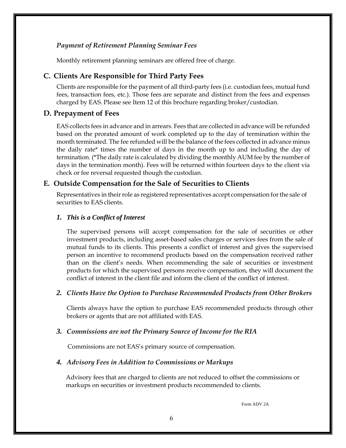#### *Payment of Retirement Planning Seminar Fees*

Monthly retirement planning seminars are offered free of charge.

#### **C. Clients Are Responsible for Third Party Fees**

Clients are responsible for the payment of all third-party fees (i.e. custodian fees, mutual fund fees, transaction fees, etc.). Those fees are separate and distinct from the fees and expenses charged by EAS. Please see Item 12 of this brochure regarding broker/custodian.

#### **D. Prepayment of Fees**

EAS collects fees in advance and in arrears. Fees that are collected in advance will be refunded based on the prorated amount of work completed up to the day of termination within the month terminated. The fee refunded will be the balance of the fees collected in advance minus the daily rate\* times the number of days in the month up to and including the day of termination. (\*The daily rate is calculated by dividing the monthly AUM fee by the number of days in the termination month). Fees will be returned within fourteen days to the client via check or fee reversal requested though the custodian.

#### **E. Outside Compensation for the Sale of Securities to Clients**

Representatives in their role as registered representatives accept compensation for the sale of securities to EAS clients.

#### *1. This is a Conflict of Interest*

The supervised persons will accept compensation for the sale of securities or other investment products, including asset-based sales charges or services fees from the sale of mutual funds to its clients. This presents a conflict of interest and gives the supervised person an incentive to recommend products based on the compensation received rather than on the client's needs. When recommending the sale of securities or investment products for which the supervised persons receive compensation, they will document the conflict of interest in the client file and inform the client of the conflict of interest.

#### *2. Clients Have the Option to Purchase Recommended Products from Other Brokers*

Clients always have the option to purchase EAS recommended products through other brokers or agents that are not affiliated with EAS.

#### *3. Commissions are not the Primary Source of Income for the RIA*

Commissions are not EAS's primary source of compensation.

#### *4. Advisory Fees in Addition to Commissions or Markups*

 Advisory fees that are charged to clients are not reduced to offset the commissions or markups on securities or investment products recommended to clients.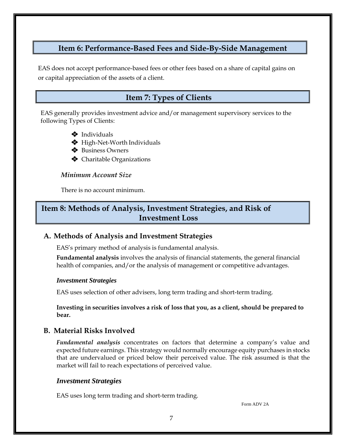# **Item 6: Performance-Based Fees and Side-By-Side Management**

 EAS does not accept performance-based fees or other fees based on a share of capital gains on or capital appreciation of the assets of a client.

# **Item 7: Types of Clients**

EAS generally provides investment advice and/or management supervisory services to the following Types of Clients:

- ❖ Individuals
- ❖ High-Net-Worth Individuals
- ❖ Business Owners
- ❖ Charitable Organizations

#### *Minimum Account Size*

There is no account minimum.

# **Item 8: Methods of Analysis, Investment Strategies, and Risk of Investment Loss**

# **A. Methods of Analysis and Investment Strategies**

EAS's primary method of analysis is fundamental analysis.

**Fundamental analysis** involves the analysis of financial statements, the general financial health of companies, and/or the analysis of management or competitive advantages.

#### *Investment Strategies*

EAS uses selection of other advisers, long term trading and short-term trading.

**Investing in securities involves a risk of loss that you, as a client, should be prepared to bear.**

# **B. Material Risks Involved**

*Fundamental analysis* concentrates on factors that determine a company's value and expected future earnings. This strategy would normally encourage equity purchases in stocks that are undervalued or priced below their perceived value. The risk assumed is that the market will fail to reach expectations of perceived value.

#### *Investment Strategies*

EAS uses long term trading and short-term trading.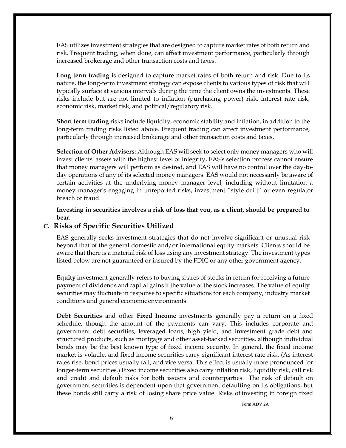EAS utilizes investment strategies that are designed to capture marketrates of both return and risk. Frequent trading, when done, can affect investment performance, particularly through increased brokerage and other transaction costs and taxes.

**Long term trading** is designed to capture market rates of both return and risk. Due to its nature, the long-term investment strategy can expose clients to various types of risk that will typically surface at various intervals during the time the client owns the investments. These risks include but are not limited to inflation (purchasing power) risk, interest rate risk, economic risk, market risk, and political/regulatory risk.

**Short term trading** risks include liquidity, economic stability and inflation, in addition to the long-term trading risks listed above. Frequent trading can affect investment performance, particularly through increased brokerage and other transaction costs and taxes.

**Selection of Other Advisers:** Although EAS will seek to select only money managers who will invest clients' assets with the highest level of integrity, EAS's selection process cannot ensure that money managers will perform as desired, and EAS will have no control over the day-today operations of any of its selected money managers. EAS would not necessarily be aware of certain activities at the underlying money manager level, including without limitation a money manager's engaging in unreported risks, investment "style drift" or even regulator breach or fraud.

**Investing in securities involves a risk of loss that you, as a client, should be prepared to bear.**

#### **C. Risks of Specific Securities Utilized**

EAS generally seeks investment strategies that do not involve significant or unusual risk beyond that of the general domestic and/or international equity markets. Clients should be aware that there is a material risk of loss using any investment strategy. The investment types listed below are not guaranteed or insured by the FDIC or any other government agency.

**Equity** investment generally refers to buying shares of stocks in return for receiving a future payment of dividends and capital gains if the value of the stock increases. The value of equity securities may fluctuate in response to specific situations for each company, industry market conditions and general economic environments.

**Debt Securities** and other **Fixed Income** investments generally pay a return on a fixed schedule, though the amount of the payments can vary. This includes corporate and government debt securities, leveraged loans, high yield, and investment grade debt and structured products, such as mortgage and other asset-backed securities, although individual bonds may be the best known type of fixed income security. In general, the fixed income market is volatile, and fixed income securities carry significant interest rate risk. (As interest rates rise, bond prices usually fall, and vice versa. This effect is usually more pronounced for longer-term securities.) Fixed income securities also carry inflation risk, liquidity risk, call risk and credit and default risks for both issuers and counterparties. The risk of default on government securities is dependent upon that government defaulting on its obligations, but these bonds still carry a risk of losing share price value. Risks of investing in foreign fixed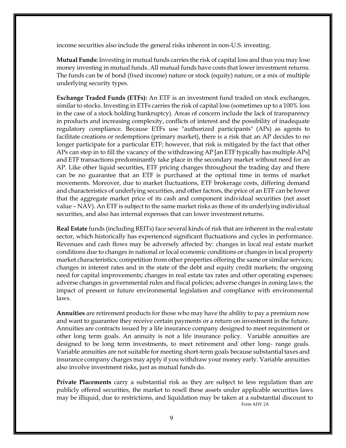income securities also include the general risks inherent in non-U.S. investing.

**Mutual Funds:** Investing in mutual funds carries the risk of capital loss and thus you may lose money investing in mutual funds. All mutual funds have costs that lower investment returns. The funds can be of bond (fixed income) nature or stock (equity) nature, or a mix of multiple underlying security types.

**Exchange Traded Funds (ETFs):** An ETF is an investment fund traded on stock exchanges, similar to stocks. Investing in ETFs carries the risk of capital loss (sometimes up to a 100% loss in the case of a stock holding bankruptcy). Areas of concern include the lack of transparency in products and increasing complexity, conflicts of interest and the possibility of inadequate regulatory compliance. Because ETFs use "authorized participants" (APs) as agents to facilitate creations or redemptions (primary market), there is a risk that an AP decides to no longer participate for a particular ETF; however, that risk is mitigated by the fact that other APs can step in to fill the vacancy of the withdrawing AP [an ETF typically has multiple APs] and ETF transactions predominantly take place in the secondary market without need for an AP. Like other liquid securities, ETF pricing changes throughout the trading day and there can be no guarantee that an ETF is purchased at the optimal time in terms of market movements. Moreover, due to market fluctuations, ETF brokerage costs, differing demand and characteristics of underlying securities, and other factors, the price of an ETF can be lower that the aggregate market price of its cash and component individual securities (net asset value – NAV). An ETF is subject to the same market risks as those of its underlying individual securities, and also has internal expenses that can lower investment returns.

**Real Estate** funds (including REITs) face several kinds of risk that are inherent in the real estate sector, which historically has experienced significant fluctuations and cycles in performance. Revenues and cash flows may be adversely affected by: changes in local real estate market conditions due to changes in national or local economic conditions or changes in local property market characteristics; competition from other properties offering the same or similar services; changes in interest rates and in the state of the debt and equity credit markets; the ongoing need for capital improvements; changes in real estate tax rates and other operating expenses; adverse changes in governmental rules and fiscal policies; adverse changes in zoning laws; the impact of present or future environmental legislation and compliance with environmental laws.

**Annuities** are retirement products for those who may have the ability to pay a premium now and want to guarantee they receive certain payments or a return on investment in the future. Annuities are contracts issued by a life insurance company designed to meet requirement or other long term goals. An annuity is not a life insurance policy. Variable annuities are designed to be long term investments, to meet retirement and other long- range goals. Variable annuities are not suitable for meeting short-term goals because substantial taxes and insurance company charges may apply if you withdraw your money early. Variable annuities also involve investment risks, just as mutual funds do.

Form ADV 2A **Private Placements** carry a substantial risk as they are subject to less regulation than are publicly offered securities, the market to resell these assets under applicable securities laws may be illiquid, due to restrictions, and liquidation may be taken at a substantial discount to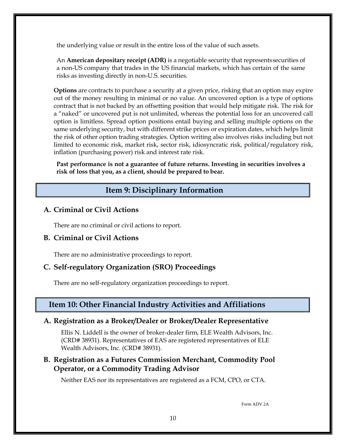the underlying value or result in the entire loss of the value of such assets.

An **American depositary receipt (ADR)** is a negotiable security that representssecurities of a non-US company that trades in the US financial markets, which has certain of the same risks as investing directly in non-U.S. securities.

**Options** are contracts to purchase a security at a given price, risking that an option may expire out of the money resulting in minimal or no value. An uncovered option is a type of options contract that is not backed by an offsetting position that would help mitigate risk. The risk for a "naked" or uncovered put is not unlimited, whereas the potential loss for an uncovered call option is limitless. Spread option positions entail buying and selling multiple options on the same underlying security, but with different strike prices or expiration dates, which helps limit the risk of other option trading strategies. Option writing also involves risks including but not limited to economic risk, market risk, sector risk, idiosyncratic risk, political/regulatory risk, inflation (purchasing power) risk and interest rate risk.

**Past performance is not a guarantee of future returns. Investing in securities involves a risk of loss that you, as a client, should be prepared to bear.**

# **Item 9: Disciplinary Information**

# **A. Criminal or Civil Actions**

There are no criminal or civil actions to report.

# **B. Criminal or Civil Actions**

There are no administrative proceedings to report.

# **C. Self-regulatory Organization (SRO) Proceedings**

There are no self-regulatory organization proceedings to report.

# **Item 10: Other Financial Industry Activities and Affiliations**

# **A. Registration as a Broker/Dealer or Broker/Dealer Representative**

Ellis N. Liddell is the owner of broker-dealer firm, ELE Wealth Advisors, Inc. (CRD# 38931). Representatives of EAS are registered representatives of ELE Wealth Advisors, Inc. (CRD# 38931).

# **B. Registration as a Futures Commission Merchant, Commodity Pool Operator, or a Commodity Trading Advisor**

Neither EAS nor its representatives are registered as a FCM, CPO, or CTA.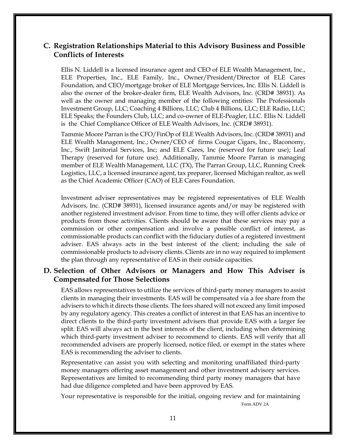# **C. Registration Relationships Material to this Advisory Business and Possible Conflicts of Interests**

Ellis N. Liddell is a licensed insurance agent and CEO of ELE Wealth Management, Inc., ELE Properties, Inc., ELE Family, Inc., Owner/President/Director of ELE Cares Foundation, and CEO/mortgage broker of ELE Mortgage Services, Inc. Ellis N. Liddell is also the owner of the broker-dealer firm, ELE Wealth Advisors, Inc. (CRD# 38931). As well as the owner and managing member of the following entities: The Professionals Investment Group, LLC; Coaching 4 Billions, LLC; Club 4 Billions, LLC; ELE Radio, LLC; ELE Speaks; the Founders Club, LLC; and co-owner of ELE-Peagler, LLC. Ellis N. Liddell is the Chief Compliance Officer of ELE Wealth Advisors, Inc. (CRD# 38931).

Tammie Moore Parran is the CFO/FinOp of ELE Wealth Advisors, Inc. (CRD# 38931) and ELE Wealth Management, Inc.; Owner/CEO of firms Cougar Cigars, Inc., Blaconomy, Inc., Swift Janitorial Services, Inc; and ELE Cares, Inc (reserved for future use); Leaf Therapy (reserved for future use). Additionally, Tammie Moore Parran is managing member of ELE Wealth Management, LLC (TX), The Parran Group, LLC, Running Creek Logistics, LLC, a licensed insurance agent, tax preparer, licensed Michigan realtor, as well as the Chief Academic Officer (CAO) of ELE Cares Foundation.

Investment adviser representatives may be registered representatives of ELE Wealth Advisors, Inc. (CRD# 38931), licensed insurance agents and/or may be registered with another registered investment advisor. From time to time, they will offer clients advice or products from those activities. Clients should be aware that these services may pay a commission or other compensation and involve a possible conflict of interest, as commissionable products can conflict with the fiduciary duties of a registered investment adviser. EAS always acts in the best interest of the client; including the sale of commissionable products to advisory clients. Clients are in no way required to implement the plan through any representative of EAS in their outside capacities.

# **D. Selection of Other Advisors or Managers and How This Adviser is Compensated for Those Selections**

EAS allows representatives to utilize the services of third-party money managers to assist clients in managing their investments. EAS will be compensated via a fee share from the advisers to which it directs those clients. The fees shared will not exceed any limit imposed by any regulatory agency. This creates a conflict of interest in that EAS has an incentive to direct clients to the third-party investment advisers that provide EAS with a larger fee split. EAS will always act in the best interests of the client, including when determining which third-party investment adviser to recommend to clients. EAS will verify that all recommended advisers are properly licensed, notice filed, or exempt in the states where EAS is recommending the adviser to clients.

Representative can assist you with selecting and monitoring unaffiliated third-party money managers offering asset management and other investment advisory services. Representatives are limited to recommending third party money managers that have had due diligence completed and have been approved by EAS.

Your representative is responsible for the initial, ongoing review and for maintaining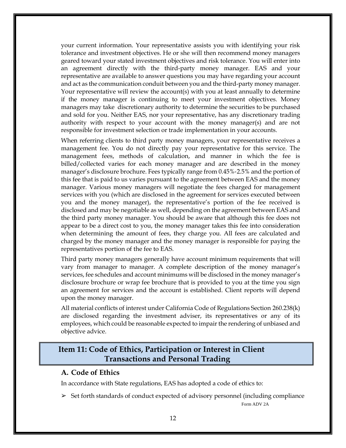your current information. Your representative assists you with identifying your risk tolerance and investment objectives. He or she will then recommend money managers geared toward your stated investment objectives and risk tolerance. You will enter into an agreement directly with the third-party money manager. EAS and your representative are available to answer questions you may have regarding your account and act as the communication conduit between you and the third-party money manager. Your representative will review the account(s) with you at least annually to determine if the money manager is continuing to meet your investment objectives. Money managers may take discretionary authority to determine the securities to be purchased and sold for you. Neither EAS, nor your representative, has any discretionary trading authority with respect to your account with the money manager(s) and are not responsible for investment selection or trade implementation in your accounts.

When referring clients to third party money managers, your representative receives a management fee. You do not directly pay your representative for this service. The management fees, methods of calculation, and manner in which the fee is billed/collected varies for each money manager and are described in the money manager's disclosure brochure. Fees typically range from 0.45%‐2.5% and the portion of this fee that is paid to us varies pursuant to the agreement between EAS and the money manager. Various money managers will negotiate the fees charged for management services with you (which are disclosed in the agreement for services executed between you and the money manager), the representative's portion of the fee received is disclosed and may be negotiable as well, depending on the agreement between EAS and the third party money manager. You should be aware that although this fee does not appear to be a direct cost to you, the money manager takes this fee into consideration when determining the amount of fees, they charge you. All fees are calculated and charged by the money manager and the money manager is responsible for paying the representatives portion of the fee to EAS.

Third party money managers generally have account minimum requirements that will vary from manager to manager. A complete description of the money manager's services, fee schedules and account minimums will be disclosed in the money manager's disclosure brochure or wrap fee brochure that is provided to you at the time you sign an agreement for services and the account is established. Client reports will depend upon the money manager.

All material conflicts of interest under California Code of Regulations Section 260.238(k) are disclosed regarding the investment adviser, its representatives or any of its employees, which could be reasonable expected to impair the rendering of unbiased and objective advice.

# **Item 11: Code of Ethics, Participation or Interest in Client Transactions and Personal Trading**

#### **A. Code of Ethics**

In accordance with State regulations, EAS has adopted a code of ethics to:

 $\geq$  Set forth standards of conduct expected of advisory personnel (including compliance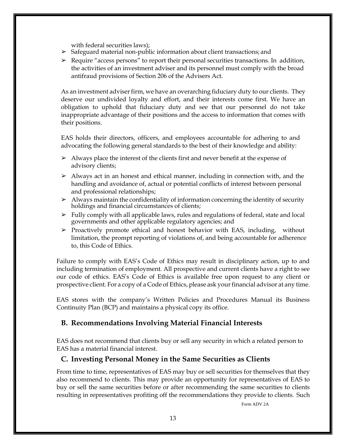with federal securities laws);

- ➢ Safeguard material non-public information about client transactions; and
- $\triangleright$  Require "access persons" to report their personal securities transactions. In addition, the activities of an investment adviser and its personnel must comply with the broad antifraud provisions of Section 206 of the Advisers Act.

As an investment adviser firm, we have an overarching fiduciary duty to our clients. They deserve our undivided loyalty and effort, and their interests come first. We have an obligation to uphold that fiduciary duty and see that our personnel do not take inappropriate advantage of their positions and the access to information that comes with their positions.

EAS holds their directors, officers, and employees accountable for adhering to and advocating the following general standards to the best of their knowledge and ability:

- $\geq$  Always place the interest of the clients first and never benefit at the expense of advisory clients;
- $\triangleright$  Always act in an honest and ethical manner, including in connection with, and the handling and avoidance of, actual or potential conflicts of interest between personal and professional relationships;
- $\triangleright$  Always maintain the confidentiality of information concerning the identity of security holdings and financial circumstances of clients;
- ➢ Fully comply with all applicable laws, rules and regulations of federal, state and local governments and other applicable regulatory agencies; and
- $\triangleright$  Proactively promote ethical and honest behavior with EAS, including, without limitation, the prompt reporting of violations of, and being accountable for adherence to, this Code of Ethics.

Failure to comply with EAS's Code of Ethics may result in disciplinary action, up to and including termination of employment. All prospective and current clients have a right to see our code of ethics. EAS's Code of Ethics is available free upon request to any client or prospective client. For a copy of a Code of Ethics, please ask your financial advisor at any time.

EAS stores with the company's Written Policies and Procedures Manual its Business Continuity Plan (BCP) and maintains a physical copy its office.

# **B. Recommendations Involving Material Financial Interests**

EAS does not recommend that clients buy or sell any security in which a related person to EAS has a material financial interest.

# **C. Investing Personal Money in the Same Securities as Clients**

From time to time, representatives of EAS may buy or sell securities for themselves that they also recommend to clients. This may provide an opportunity for representatives of EAS to buy or sell the same securities before or after recommending the same securities to clients resulting in representatives profiting off the recommendations they provide to clients. Such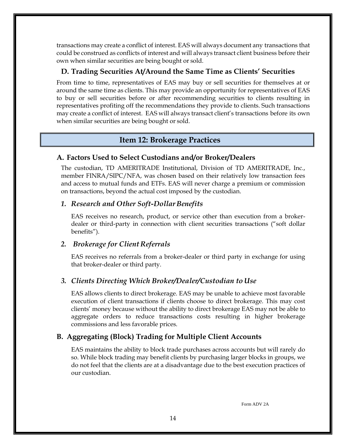transactions may create a conflict of interest. EAS will always document any transactions that could be construed as conflicts of interest and will always transact client business before their own when similar securities are being bought or sold.

#### **D. Trading Securities At/Around the Same Time as Clients' Securities**

From time to time, representatives of EAS may buy or sell securities for themselves at or around the same time as clients. This may provide an opportunity for representatives of EAS to buy or sell securities before or after recommending securities to clients resulting in representatives profiting off the recommendations they provide to clients. Such transactions may create a conflict of interest. EAS will always transact client's transactions before its own when similar securities are being bought or sold.

#### **Item 12: Brokerage Practices**

#### **A. Factors Used to Select Custodians and/or Broker/Dealers**

The custodian, TD AMERITRADE Institutional, Division of TD AMERITRADE, Inc., member FINRA/SIPC/NFA, was chosen based on their relatively low transaction fees and access to mutual funds and ETFs. EAS will never charge a premium or commission on transactions, beyond the actual cost imposed by the custodian.

#### *1. Research and Other Soft-DollarBenefits*

EAS receives no research, product, or service other than execution from a brokerdealer or third-party in connection with client securities transactions ("soft dollar benefits").

#### *2. Brokerage for Client Referrals*

EAS receives no referrals from a broker-dealer or third party in exchange for using that broker-dealer or third party.

#### *3. Clients Directing Which Broker/Dealer/Custodian to Use*

EAS allows clients to direct brokerage. EAS may be unable to achieve most favorable execution of client transactions if clients choose to direct brokerage. This may cost clients' money because without the ability to direct brokerage EAS may not be able to aggregate orders to reduce transactions costs resulting in higher brokerage commissions and less favorable prices.

#### **B. Aggregating (Block) Trading for Multiple Client Accounts**

EAS maintains the ability to block trade purchases across accounts but will rarely do so. While block trading may benefit clients by purchasing larger blocks in groups, we do not feel that the clients are at a disadvantage due to the best execution practices of our custodian.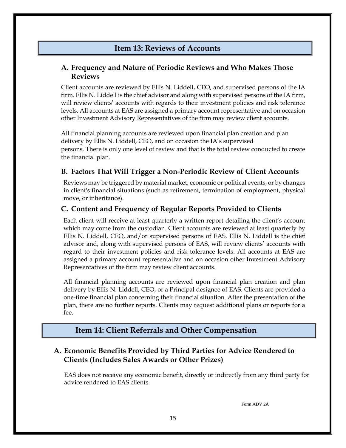# **Item 13: Reviews of Accounts**

# **A. Frequency and Nature of Periodic Reviews and Who Makes Those Reviews**

Client accounts are reviewed by Ellis N. Liddell, CEO, and supervised persons of the IA firm. Ellis N. Liddell is the chief advisor and along with supervised persons of the IA firm, will review clients' accounts with regards to their investment policies and risk tolerance levels. All accounts at EAS are assigned a primary account representative and on occasion other Investment Advisory Representatives of the firm may review client accounts.

All financial planning accounts are reviewed upon financial plan creation and plan delivery by Ellis N. Liddell, CEO, and on occasion the IA's supervised persons. There is only one level of review and that is the total review conducted to create the financial plan.

# **B. Factors That Will Trigger a Non-Periodic Review of Client Accounts**

Reviews may be triggered by material market, economic or political events, or by changes in client's financial situations (such as retirement, termination of employment, physical move, or inheritance).

# **C. Content and Frequency of Regular Reports Provided to Clients**

Each client will receive at least quarterly a written report detailing the client's account which may come from the custodian. Client accounts are reviewed at least quarterly by Ellis N. Liddell, CEO, and/or supervised persons of EAS. Ellis N. Liddell is the chief advisor and, along with supervised persons of EAS, will review clients' accounts with regard to their investment policies and risk tolerance levels. All accounts at EAS are assigned a primary account representative and on occasion other Investment Advisory Representatives of the firm may review client accounts.

All financial planning accounts are reviewed upon financial plan creation and plan delivery by Ellis N. Liddell, CEO, or a Principal designee of EAS. Clients are provided a one-time financial plan concerning their financial situation. After the presentation of the plan, there are no further reports. Clients may request additional plans or reports for a fee.

# **Item 14: Client Referrals and Other Compensation**

# **A. Economic Benefits Provided by Third Parties for Advice Rendered to Clients (Includes Sales Awards or Other Prizes)**

 EAS does not receive any economic benefit, directly or indirectly from any third party for advice rendered to EAS clients.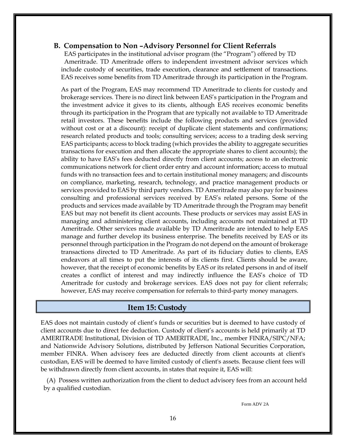#### **B. Compensation to Non –Advisory Personnel for Client Referrals**

 EAS participates in the institutional advisor program (the "Program") offered by TD Ameritrade. TD Ameritrade offers to independent investment advisor services which include custody of securities, trade execution, clearance and settlement of transactions. EAS receives some benefits from TD Ameritrade through its participation in the Program.

As part of the Program, EAS may recommend TD Ameritrade to clients for custody and brokerage services. There is no direct link between EAS's participation in the Program and the investment advice it gives to its clients, although EAS receives economic benefits through its participation in the Program that are typically not available to TD Ameritrade retail investors. These benefits include the following products and services (provided without cost or at a discount): receipt of duplicate client statements and confirmations; research related products and tools; consulting services; access to a trading desk serving EAS participants; access to block trading (which provides the ability to aggregate securities transactions for execution and then allocate the appropriate shares to client accounts); the ability to have EAS's fees deducted directly from client accounts; access to an electronic communications network for client order entry and account information; access to mutual funds with no transaction fees and to certain institutional money managers; and discounts on compliance, marketing, research, technology, and practice management products or services provided to EAS by third party vendors. TD Ameritrade may also pay for business consulting and professional services received by EAS's related persons. Some of the products and services made available by TD Ameritrade through the Program may benefit EAS but may not benefit its client accounts. These products or services may assist EAS in managing and administering client accounts, including accounts not maintained at TD Ameritrade. Other services made available by TD Ameritrade are intended to help EAS manage and further develop its business enterprise. The benefits received by EAS or its personnel through participation in the Program do not depend on the amount of brokerage transactions directed to TD Ameritrade. As part of its fiduciary duties to clients, EAS endeavors at all times to put the interests of its clients first. Clients should be aware, however, that the receipt of economic benefits by EAS or its related persons in and of itself creates a conflict of interest and may indirectly influence the EAS's choice of TD Ameritrade for custody and brokerage services. EAS does not pay for client referrals; however, EAS may receive compensation for referrals to third-party money managers.

#### **Item 15: Custody**

EAS does not maintain custody of client's funds or securities but is deemed to have custody of client accounts due to direct fee deduction. Custody of client's accounts is held primarily at TD AMERITRADE Institutional, Division of TD AMERITRADE, Inc., member FINRA/SIPC/NFA; and Nationwide Advisory Solutions, distributed by Jefferson National Securities Corporation, member FINRA. When advisory fees are deducted directly from client accounts at client's custodian, EAS will be deemed to have limited custody of client's assets. Because client fees will be withdrawn directly from client accounts, in states that require it, EAS will:

 (A) Possess written authorization from the client to deduct advisory fees from an account held by a qualified custodian.